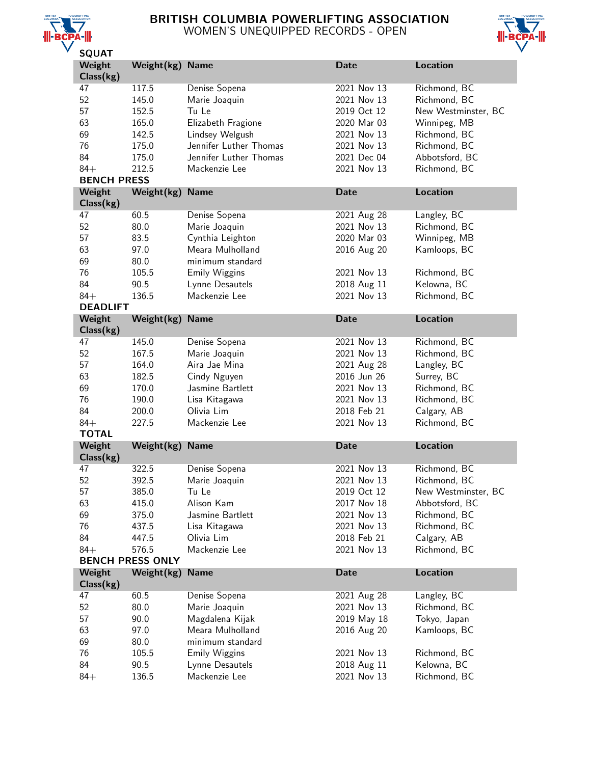

# BRITISH COLUMBIA POWERLIFTING ASSOCIATION WOMEN'S UNEQUIPPED RECORDS - OPEN



| <b>SQUAT</b>        |                         |                        |             |                     |
|---------------------|-------------------------|------------------------|-------------|---------------------|
| Weight              | Weight(kg)              | <b>Name</b>            | <b>Date</b> | <b>Location</b>     |
| Class(kg)           |                         |                        |             |                     |
| 47                  | 117.5                   | Denise Sopena          | 2021 Nov 13 | Richmond, BC        |
| 52                  | 145.0                   | Marie Joaquin          | 2021 Nov 13 | Richmond, BC        |
| 57                  | 152.5                   | Tu Le                  | 2019 Oct 12 | New Westminster, BC |
| 63                  | 165.0                   | Elizabeth Fragione     | 2020 Mar 03 | Winnipeg, MB        |
| 69                  | 142.5                   | Lindsey Welgush        | 2021 Nov 13 | Richmond, BC        |
| 76                  | 175.0                   | Jennifer Luther Thomas | 2021 Nov 13 | Richmond, BC        |
| 84                  | 175.0                   | Jennifer Luther Thomas | 2021 Dec 04 | Abbotsford, BC      |
| $84+$               |                         |                        |             |                     |
| <b>BENCH PRESS</b>  | 212.5                   | Mackenzie Lee          | 2021 Nov 13 | Richmond, BC        |
|                     |                         |                        |             |                     |
| Weight<br>Class(kg) | Weight(kg)              | <b>Name</b>            | <b>Date</b> | <b>Location</b>     |
| 47                  | 60.5                    | Denise Sopena          | 2021 Aug 28 | Langley, BC         |
| 52                  | 80.0                    | Marie Joaquin          | 2021 Nov 13 | Richmond, BC        |
| 57                  | 83.5                    | Cynthia Leighton       | 2020 Mar 03 | Winnipeg, MB        |
| 63                  | 97.0                    | Meara Mulholland       | 2016 Aug 20 | Kamloops, BC        |
| 69                  | 80.0                    | minimum standard       |             |                     |
| 76                  | 105.5                   | <b>Emily Wiggins</b>   | 2021 Nov 13 | Richmond, BC        |
| 84                  | 90.5                    | Lynne Desautels        | 2018 Aug 11 | Kelowna, BC         |
| $84+$               | 136.5                   | Mackenzie Lee          | 2021 Nov 13 | Richmond, BC        |
| <b>DEADLIFT</b>     |                         |                        |             |                     |
| Weight              | Weight(kg)              | <b>Name</b>            | <b>Date</b> | <b>Location</b>     |
| Class(kg)           |                         |                        |             |                     |
| 47                  | 145.0                   | Denise Sopena          | 2021 Nov 13 | Richmond, BC        |
| 52                  | 167.5                   | Marie Joaquin          | 2021 Nov 13 | Richmond, BC        |
| 57                  | 164.0                   | Aira Jae Mina          | 2021 Aug 28 | Langley, BC         |
| 63                  | 182.5                   | Cindy Nguyen           | 2016 Jun 26 | Surrey, BC          |
| 69                  | 170.0                   | Jasmine Bartlett       | 2021 Nov 13 | Richmond, BC        |
| 76                  | 190.0                   | Lisa Kitagawa          | 2021 Nov 13 | Richmond, BC        |
| 84                  | 200.0                   | Olivia Lim             | 2018 Feb 21 | Calgary, AB         |
| $84+$               | 227.5                   | Mackenzie Lee          | 2021 Nov 13 | Richmond, BC        |
| <b>TOTAL</b>        |                         |                        |             |                     |
| Weight              | Weight(kg)              | <b>Name</b>            | <b>Date</b> | <b>Location</b>     |
| Class(kg)           |                         |                        |             |                     |
| 47                  | 322.5                   | Denise Sopena          | 2021 Nov 13 | Richmond, BC        |
| 52                  | 392.5                   | Marie Joaquin          | 2021 Nov 13 | Richmond, BC        |
| 57                  | 385.0                   | Tu Le                  | 2019 Oct 12 | New Westminster, BC |
| 63                  | 415.0                   | Alison Kam             | 2017 Nov 18 | Abbotsford, BC      |
| 69                  |                         | Jasmine Bartlett       | 2021 Nov 13 |                     |
|                     | 375.0                   |                        |             | Richmond, BC        |
| 76                  | 437.5                   | Lisa Kitagawa          | 2021 Nov 13 | Richmond, BC        |
| 84                  | 447.5                   | Olivia Lim             | 2018 Feb 21 | Calgary, AB         |
| $84+$               | 576.5                   | Mackenzie Lee          | 2021 Nov 13 | Richmond, BC        |
|                     | <b>BENCH PRESS ONLY</b> |                        |             |                     |
| Weight<br>Class(kg) | Weight(kg)              | <b>Name</b>            | <b>Date</b> | Location            |
| 47                  | 60.5                    | Denise Sopena          | 2021 Aug 28 | Langley, BC         |
| 52                  | 80.0                    | Marie Joaquin          | 2021 Nov 13 | Richmond, BC        |
| 57                  | 90.0                    | Magdalena Kijak        | 2019 May 18 | Tokyo, Japan        |
| 63                  | 97.0                    | Meara Mulholland       | 2016 Aug 20 | Kamloops, BC        |
| 69                  | 80.0                    | minimum standard       |             |                     |
| 76                  | 105.5                   | <b>Emily Wiggins</b>   | 2021 Nov 13 | Richmond, BC        |
| 84                  | 90.5                    | Lynne Desautels        | 2018 Aug 11 | Kelowna, BC         |
| $84+$               | 136.5                   | Mackenzie Lee          | 2021 Nov 13 | Richmond, BC        |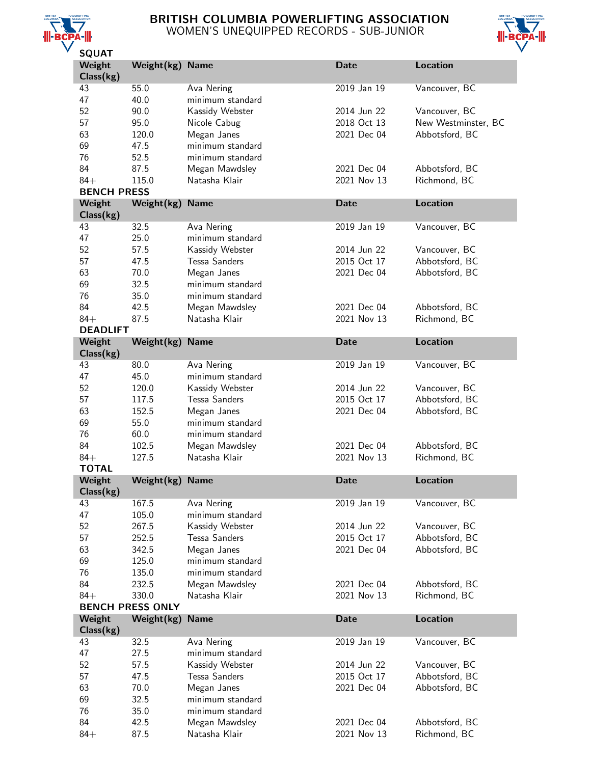

# BRITISH COLUMBIA POWERLIFTING ASSOCIATION WOMEN'S UNEQUIPPED RECORDS - SUB-JUNIOR



| วษุบหา<br>Weight             | Weight(kg) Name         |                                 | <b>Date</b>                | Location                       |
|------------------------------|-------------------------|---------------------------------|----------------------------|--------------------------------|
| Class(kg)                    |                         |                                 |                            |                                |
| 43                           | 55.0                    | Ava Nering                      | 2019 Jan 19                | Vancouver, BC                  |
| 47                           | 40.0                    | minimum standard                |                            |                                |
| 52                           | 90.0                    | Kassidy Webster                 | 2014 Jun 22                | Vancouver, BC                  |
| 57                           | 95.0                    | Nicole Cabug                    | 2018 Oct 13                | New Westminster, BC            |
| 63                           | 120.0                   | Megan Janes                     | 2021 Dec 04                | Abbotsford, BC                 |
| 69                           | 47.5                    | minimum standard                |                            |                                |
| 76                           | 52.5                    | minimum standard                |                            |                                |
| 84                           | 87.5                    | Megan Mawdsley                  | 2021 Dec 04                | Abbotsford, BC                 |
| $84+$                        | 115.0                   | Natasha Klair                   | 2021 Nov 13                | Richmond, BC                   |
| <b>BENCH PRESS</b><br>Weight |                         | <b>Name</b>                     | <b>Date</b>                | <b>Location</b>                |
| Class(kg)                    | Weight(kg)              |                                 |                            |                                |
| 43                           | 32.5                    | Ava Nering                      | 2019 Jan 19                | Vancouver, BC                  |
| 47                           | 25.0                    | minimum standard                |                            |                                |
| 52                           | 57.5                    | Kassidy Webster                 | 2014 Jun 22                | Vancouver, BC                  |
| 57                           | 47.5                    | <b>Tessa Sanders</b>            | 2015 Oct 17                | Abbotsford, BC                 |
| 63                           | 70.0                    | Megan Janes                     | 2021 Dec 04                | Abbotsford, BC                 |
| 69                           | 32.5                    | minimum standard                |                            |                                |
| 76                           | 35.0                    | minimum standard                |                            |                                |
| 84                           | 42.5                    | Megan Mawdsley                  | 2021 Dec 04                | Abbotsford, BC                 |
| $84+$                        | 87.5                    | Natasha Klair                   | 2021 Nov 13                | Richmond, BC                   |
| <b>DEADLIFT</b>              |                         |                                 |                            |                                |
| Weight                       | Weight(kg)              | <b>Name</b>                     | <b>Date</b>                | <b>Location</b>                |
| Class(kg)                    | 80.0                    |                                 | 2019 Jan 19                |                                |
| 43<br>47                     | 45.0                    | Ava Nering<br>minimum standard  |                            | Vancouver, BC                  |
| 52                           | 120.0                   | Kassidy Webster                 | 2014 Jun 22                | Vancouver, BC                  |
| 57                           | 117.5                   | <b>Tessa Sanders</b>            | 2015 Oct 17                | Abbotsford, BC                 |
| 63                           | 152.5                   | Megan Janes                     | 2021 Dec 04                | Abbotsford, BC                 |
| 69                           | 55.0                    | minimum standard                |                            |                                |
| 76                           | 60.0                    | minimum standard                |                            |                                |
| 84                           | 102.5                   | Megan Mawdsley                  | 2021 Dec 04                | Abbotsford, BC                 |
| $84+$                        | 127.5                   | Natasha Klair                   | 2021 Nov 13                | Richmond, BC                   |
| <b>TOTAL</b>                 |                         |                                 |                            |                                |
| Weight                       | Weight(kg)              | <b>Name</b>                     | <b>Date</b>                | <b>Location</b>                |
| Class(kg)                    |                         |                                 |                            |                                |
| 43                           | 167.5                   | Ava Nering                      | 2019 Jan 19                | Vancouver, BC                  |
| 47                           | 105.0                   | minimum standard                |                            |                                |
| 52                           | 267.5                   | Kassidy Webster                 | 2014 Jun 22                | Vancouver, BC                  |
| 57                           | 252.5                   | <b>Tessa Sanders</b>            | 2015 Oct 17                | Abbotsford, BC                 |
| 63                           | 342.5                   | Megan Janes                     | 2021 Dec 04                | Abbotsford, BC                 |
| 69                           | 125.0                   | minimum standard                |                            |                                |
| 76                           | 135.0                   | minimum standard                |                            |                                |
| 84<br>$84+$                  | 232.5<br>330.0          | Megan Mawdsley<br>Natasha Klair | 2021 Dec 04<br>2021 Nov 13 | Abbotsford, BC<br>Richmond, BC |
|                              | <b>BENCH PRESS ONLY</b> |                                 |                            |                                |
| Weight                       | Weight(kg)              | <b>Name</b>                     | <b>Date</b>                | <b>Location</b>                |
| Class(kg)                    |                         |                                 |                            |                                |
| 43                           | 32.5                    | Ava Nering                      | 2019 Jan 19                | Vancouver, BC                  |
| 47                           | 27.5                    | minimum standard                |                            |                                |
| 52                           | 57.5                    | Kassidy Webster                 | 2014 Jun 22                | Vancouver, BC                  |
| 57                           | 47.5                    | <b>Tessa Sanders</b>            | 2015 Oct 17                | Abbotsford, BC                 |
| 63                           | 70.0                    | Megan Janes                     | 2021 Dec 04                | Abbotsford, BC                 |
| 69                           | 32.5                    | minimum standard                |                            |                                |
| 76                           | 35.0                    | minimum standard                |                            |                                |
| 84                           | 42.5                    | Megan Mawdsley                  | 2021 Dec 04                | Abbotsford, BC                 |
| $84+$                        | 87.5                    | Natasha Klair                   | 2021 Nov 13                | Richmond, BC                   |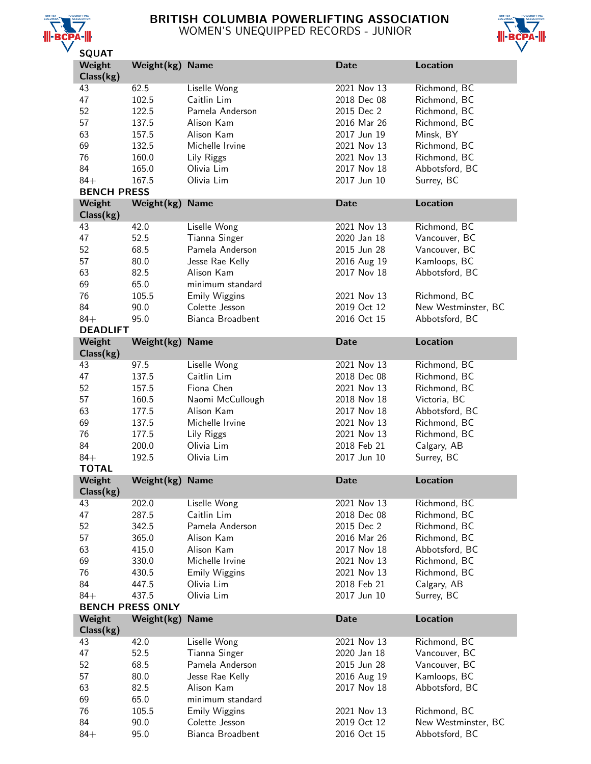

# BRITISH COLUMBIA POWERLIFTING ASSOCIATION WOMEN'S UNEQUIPPED RECORDS - JUNIOR



| <b>JUUAI</b>        |                         |                      |             |                     |
|---------------------|-------------------------|----------------------|-------------|---------------------|
| Weight<br>Class(kg) | Weight(kg)              | <b>Name</b>          | <b>Date</b> | <b>Location</b>     |
| 43                  | 62.5                    | Liselle Wong         | 2021 Nov 13 | Richmond, BC        |
| 47                  | 102.5                   | Caitlin Lim          | 2018 Dec 08 | Richmond, BC        |
| 52                  | 122.5                   | Pamela Anderson      | 2015 Dec 2  | Richmond, BC        |
| 57                  | 137.5                   | Alison Kam           | 2016 Mar 26 | Richmond, BC        |
| 63                  |                         | Alison Kam           | 2017 Jun 19 | Minsk, BY           |
|                     | 157.5                   |                      |             |                     |
| 69                  | 132.5                   | Michelle Irvine      | 2021 Nov 13 | Richmond, BC        |
| 76                  | 160.0                   | Lily Riggs           | 2021 Nov 13 | Richmond, BC        |
| 84                  | 165.0                   | Olivia Lim           | 2017 Nov 18 | Abbotsford, BC      |
| $84+$               | 167.5                   | Olivia Lim           | 2017 Jun 10 | Surrey, BC          |
| <b>BENCH PRESS</b>  |                         |                      |             |                     |
| Weight              | Weight(kg)              | <b>Name</b>          | <b>Date</b> | <b>Location</b>     |
| Class(kg)           |                         |                      |             |                     |
| 43                  | 42.0                    | Liselle Wong         | 2021 Nov 13 | Richmond, BC        |
| 47                  | 52.5                    | Tianna Singer        | 2020 Jan 18 | Vancouver, BC       |
| 52                  | 68.5                    | Pamela Anderson      | 2015 Jun 28 | Vancouver, BC       |
| 57                  | 80.0                    | Jesse Rae Kelly      | 2016 Aug 19 | Kamloops, BC        |
| 63                  | 82.5                    | Alison Kam           | 2017 Nov 18 | Abbotsford, BC      |
| 69                  | 65.0                    | minimum standard     |             |                     |
| 76                  | 105.5                   | <b>Emily Wiggins</b> | 2021 Nov 13 | Richmond, BC        |
| 84                  | 90.0                    | Colette Jesson       | 2019 Oct 12 | New Westminster, BC |
| $84+$               | 95.0                    | Bianca Broadbent     | 2016 Oct 15 | Abbotsford, BC      |
| <b>DEADLIFT</b>     |                         |                      |             |                     |
| Weight              | Weight(kg)              | <b>Name</b>          | <b>Date</b> | <b>Location</b>     |
| Class(kg)           |                         |                      |             |                     |
| 43                  | 97.5                    | Liselle Wong         | 2021 Nov 13 | Richmond, BC        |
| 47                  | 137.5                   | Caitlin Lim          | 2018 Dec 08 | Richmond, BC        |
| 52                  |                         | Fiona Chen           | 2021 Nov 13 |                     |
|                     | 157.5                   |                      |             | Richmond, BC        |
| 57                  | 160.5                   | Naomi McCullough     | 2018 Nov 18 | Victoria, BC        |
| 63                  | 177.5                   | Alison Kam           | 2017 Nov 18 | Abbotsford, BC      |
| 69                  | 137.5                   | Michelle Irvine      | 2021 Nov 13 | Richmond, BC        |
| 76                  | 177.5                   | Lily Riggs           | 2021 Nov 13 | Richmond, BC        |
| 84                  | 200.0                   | Olivia Lim           | 2018 Feb 21 | Calgary, AB         |
| $84+$               | 192.5                   | Olivia Lim           | 2017 Jun 10 | Surrey, BC          |
| <b>TOTAL</b>        |                         |                      |             |                     |
| Weight<br>Class(kg) | Weight(kg)              | <b>Name</b>          | <b>Date</b> | <b>Location</b>     |
| 43                  | 202.0                   | Liselle Wong         | 2021 Nov 13 | Richmond, BC        |
| 47                  | 287.5                   | Caitlin Lim          | 2018 Dec 08 | Richmond, BC        |
| 52                  | 342.5                   | Pamela Anderson      | 2015 Dec 2  | Richmond, BC        |
| 57                  | 365.0                   | Alison Kam           | 2016 Mar 26 | Richmond, BC        |
|                     |                         |                      |             |                     |
| 63                  | 415.0                   | Alison Kam           | 2017 Nov 18 | Abbotsford, BC      |
| 69                  | 330.0                   | Michelle Irvine      | 2021 Nov 13 | Richmond, BC        |
| 76                  | 430.5                   | <b>Emily Wiggins</b> | 2021 Nov 13 | Richmond, BC        |
| 84                  | 447.5                   | Olivia Lim           | 2018 Feb 21 | Calgary, AB         |
| $84+$               | 437.5                   | Olivia Lim           | 2017 Jun 10 | Surrey, BC          |
|                     | <b>BENCH PRESS ONLY</b> |                      |             |                     |
| Weight              | Weight(kg)              | <b>Name</b>          | <b>Date</b> | <b>Location</b>     |
| Class(kg)           |                         |                      |             |                     |
| 43                  | 42.0                    | Liselle Wong         | 2021 Nov 13 | Richmond, BC        |
| 47                  | 52.5                    | Tianna Singer        | 2020 Jan 18 | Vancouver, BC       |
| 52                  | 68.5                    | Pamela Anderson      | 2015 Jun 28 | Vancouver, BC       |
| 57                  | 80.0                    | Jesse Rae Kelly      | 2016 Aug 19 | Kamloops, BC        |
| 63                  | 82.5                    | Alison Kam           | 2017 Nov 18 | Abbotsford, BC      |
| 69                  | 65.0                    | minimum standard     |             |                     |
| 76                  | 105.5                   | <b>Emily Wiggins</b> | 2021 Nov 13 | Richmond, BC        |
| 84                  | 90.0                    | Colette Jesson       | 2019 Oct 12 | New Westminster, BC |
| $84+$               | 95.0                    | Bianca Broadbent     | 2016 Oct 15 | Abbotsford, BC      |
|                     |                         |                      |             |                     |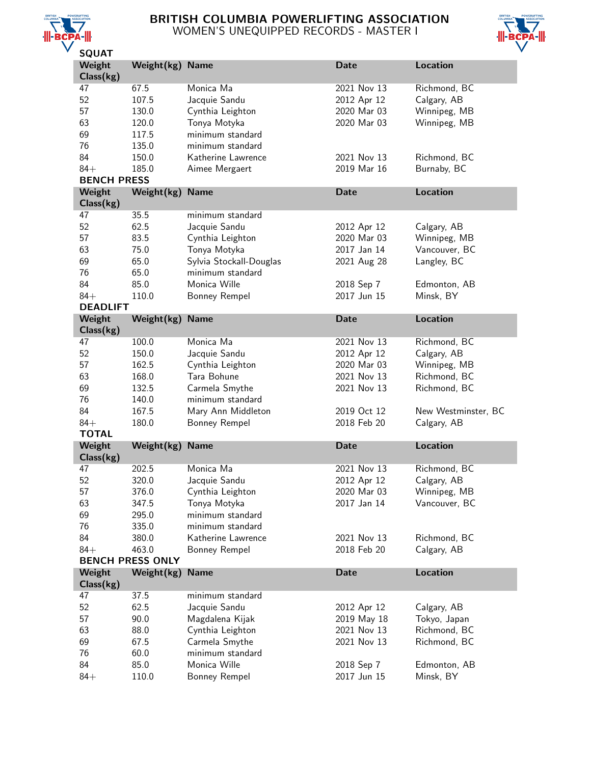

# BRITISH COLUMBIA POWERLIFTING ASSOCIATION WOMEN'S UNEQUIPPED RECORDS - MASTER I



| Weight             | Weight(kg)              | <b>Name</b>                   | <b>Date</b>               | <b>Location</b>           |
|--------------------|-------------------------|-------------------------------|---------------------------|---------------------------|
| Class(kg)          |                         |                               |                           |                           |
| 47                 | 67.5                    | Monica Ma                     | 2021 Nov 13               | Richmond, BC              |
| 52                 | 107.5                   | Jacquie Sandu                 | 2012 Apr 12               | Calgary, AB               |
| 57                 | 130.0                   | Cynthia Leighton              | 2020 Mar 03               | Winnipeg, MB              |
| 63                 | 120.0                   | Tonya Motyka                  | 2020 Mar 03               | Winnipeg, MB              |
| 69                 | 117.5                   | minimum standard              |                           |                           |
| 76                 | 135.0                   | minimum standard              |                           |                           |
| 84                 | 150.0                   | Katherine Lawrence            | 2021 Nov 13               | Richmond, BC              |
| $84+$              |                         |                               | 2019 Mar 16               |                           |
| <b>BENCH PRESS</b> | 185.0                   | Aimee Mergaert                |                           | Burnaby, BC               |
| Weight             |                         | <b>Name</b>                   | <b>Date</b>               | <b>Location</b>           |
| Class(kg)          | Weight(kg)              |                               |                           |                           |
| 47                 | 35.5                    | minimum standard              |                           |                           |
| 52                 | 62.5                    | Jacquie Sandu                 | 2012 Apr 12               | Calgary, AB               |
| 57                 | 83.5                    | Cynthia Leighton              | 2020 Mar 03               | Winnipeg, MB              |
| 63                 | 75.0                    | Tonya Motyka                  | 2017 Jan 14               | Vancouver, BC             |
|                    |                         |                               |                           |                           |
| 69                 | 65.0                    | Sylvia Stockall-Douglas       | 2021 Aug 28               | Langley, BC               |
| 76                 | 65.0                    | minimum standard              |                           |                           |
| 84                 | 85.0                    | Monica Wille                  | 2018 Sep 7                | Edmonton, AB              |
| $84+$              | 110.0                   | Bonney Rempel                 | 2017 Jun 15               | Minsk, BY                 |
| <b>DEADLIFT</b>    |                         |                               |                           |                           |
| Weight             | Weight(kg)              | <b>Name</b>                   | <b>Date</b>               | <b>Location</b>           |
| Class(kg)          |                         |                               |                           |                           |
| 47                 | 100.0                   | Monica Ma                     | 2021 Nov 13               | Richmond, BC              |
| 52                 | 150.0                   | Jacquie Sandu                 | 2012 Apr 12               | Calgary, AB               |
| 57                 | 162.5                   | Cynthia Leighton              | 2020 Mar 03               | Winnipeg, MB              |
| 63                 | 168.0                   | Tara Bohune                   | 2021 Nov 13               | Richmond, BC              |
| 69                 | 132.5                   | Carmela Smythe                | 2021 Nov 13               | Richmond, BC              |
| 76                 | 140.0                   | minimum standard              |                           |                           |
| 84                 | 167.5                   | Mary Ann Middleton            | 2019 Oct 12               | New Westminster, BC       |
| $84+$              | 180.0                   | Bonney Rempel                 | 2018 Feb 20               | Calgary, AB               |
| <b>TOTAL</b>       |                         |                               |                           |                           |
|                    |                         |                               |                           |                           |
| Weight             |                         | <b>Name</b>                   | <b>Date</b>               | <b>Location</b>           |
| Class(kg)          | Weight(kg)              |                               |                           |                           |
| 47                 | 202.5                   | Monica Ma                     | 2021 Nov 13               | Richmond, BC              |
| 52                 | 320.0                   |                               |                           |                           |
|                    |                         | Jacquie Sandu                 | 2012 Apr 12               | Calgary, AB               |
| 57                 | 376.0                   | Cynthia Leighton              | 2020 Mar 03               | Winnipeg, MB              |
| 63                 | 347.5                   | Tonya Motyka                  | 2017 Jan 14               | Vancouver, BC             |
| 69                 | 295.0                   | minimum standard              |                           |                           |
| 76                 | 335.0                   | minimum standard              |                           |                           |
| 84                 | 380.0                   | Katherine Lawrence            | 2021 Nov 13               | Richmond, BC              |
| $84+$              | 463.0                   | Bonney Rempel                 | 2018 Feb 20               | Calgary, AB               |
|                    | <b>BENCH PRESS ONLY</b> |                               |                           |                           |
| Weight             | Weight(kg)              | <b>Name</b>                   | <b>Date</b>               | <b>Location</b>           |
| Class(kg)<br>47    |                         | minimum standard              |                           |                           |
|                    | 37.5                    |                               |                           |                           |
| 52                 | 62.5                    | Jacquie Sandu                 | 2012 Apr 12               | Calgary, AB               |
| 57                 | 90.0                    | Magdalena Kijak               | 2019 May 18               | Tokyo, Japan              |
| 63                 | 88.0                    | Cynthia Leighton              | 2021 Nov 13               | Richmond, BC              |
| 69                 | 67.5                    | Carmela Smythe                | 2021 Nov 13               | Richmond, BC              |
| 76                 | 60.0                    | minimum standard              |                           |                           |
| 84<br>$84+$        | 85.0<br>110.0           | Monica Wille<br>Bonney Rempel | 2018 Sep 7<br>2017 Jun 15 | Edmonton, AB<br>Minsk, BY |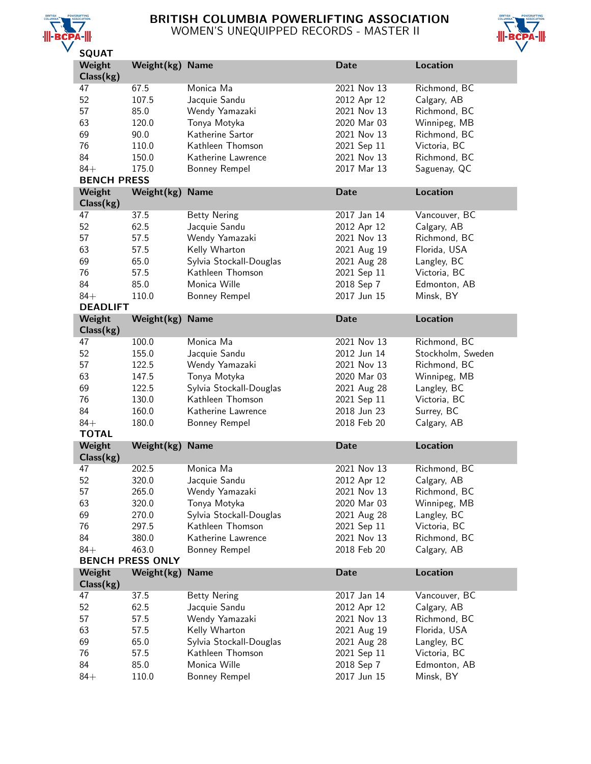

# BRITISH COLUMBIA POWERLIFTING ASSOCIATION WOMEN'S UNEQUIPPED RECORDS - MASTER II



| Weight<br>Class(kg) | Weight(kg) Name         |                               | <b>Date</b>               | <b>Location</b>           |
|---------------------|-------------------------|-------------------------------|---------------------------|---------------------------|
| 47                  | 67.5                    | Monica Ma                     | 2021 Nov 13               | Richmond, BC              |
| 52                  | 107.5                   | Jacquie Sandu                 | 2012 Apr 12               | Calgary, AB               |
| 57                  | 85.0                    | Wendy Yamazaki                | 2021 Nov 13               | Richmond, BC              |
|                     |                         |                               | 2020 Mar 03               |                           |
| 63                  | 120.0                   | Tonya Motyka                  |                           | Winnipeg, MB              |
| 69                  | 90.0                    | Katherine Sartor              | 2021 Nov 13               | Richmond, BC              |
| 76                  | 110.0                   | Kathleen Thomson              | 2021 Sep 11               | Victoria, BC              |
| 84                  | 150.0                   | Katherine Lawrence            | 2021 Nov 13               | Richmond, BC              |
| $84+$               | 175.0                   | Bonney Rempel                 | 2017 Mar 13               | Saguenay, QC              |
| <b>BENCH PRESS</b>  |                         |                               |                           |                           |
| Weight              | Weight(kg)              | <b>Name</b>                   | <b>Date</b>               | <b>Location</b>           |
| Class(kg)           |                         |                               |                           |                           |
| 47                  | 37.5                    | <b>Betty Nering</b>           | 2017 Jan 14               | Vancouver, BC             |
| 52                  | 62.5                    | Jacquie Sandu                 | 2012 Apr 12               | Calgary, AB               |
| 57                  | 57.5                    | Wendy Yamazaki                | 2021 Nov 13               | Richmond, BC              |
| 63                  | 57.5                    | Kelly Wharton                 | 2021 Aug 19               | Florida, USA              |
| 69                  | 65.0                    | Sylvia Stockall-Douglas       | 2021 Aug 28               | Langley, BC               |
| 76                  |                         | Kathleen Thomson              |                           | Victoria, BC              |
|                     | 57.5                    |                               | 2021 Sep 11               |                           |
| 84                  | 85.0                    | Monica Wille                  | 2018 Sep 7                | Edmonton, AB              |
| $84+$               | 110.0                   | Bonney Rempel                 | 2017 Jun 15               | Minsk, BY                 |
| <b>DEADLIFT</b>     |                         |                               |                           |                           |
| Weight              | Weight(kg)              | <b>Name</b>                   | <b>Date</b>               | <b>Location</b>           |
| Class(kg)           |                         |                               |                           |                           |
| 47                  | 100.0                   | Monica Ma                     | 2021 Nov 13               | Richmond, BC              |
| 52                  | 155.0                   | Jacquie Sandu                 | 2012 Jun 14               | Stockholm, Sweden         |
| 57                  | 122.5                   | Wendy Yamazaki                | 2021 Nov 13               | Richmond, BC              |
| 63                  | 147.5                   | Tonya Motyka                  | 2020 Mar 03               | Winnipeg, MB              |
| 69                  | 122.5                   | Sylvia Stockall-Douglas       | 2021 Aug 28               | Langley, BC               |
| 76                  | 130.0                   | Kathleen Thomson              | 2021 Sep 11               | Victoria, BC              |
|                     | 160.0                   | Katherine Lawrence            | 2018 Jun 23               | Surrey, BC                |
|                     |                         |                               |                           |                           |
| 84                  |                         |                               |                           |                           |
| $84+$               | 180.0                   | Bonney Rempel                 | 2018 Feb 20               | Calgary, AB               |
| <b>TOTAL</b>        |                         |                               |                           |                           |
| Weight              | Weight(kg)              | <b>Name</b>                   | <b>Date</b>               | <b>Location</b>           |
| Class(kg)           |                         | Monica Ma                     |                           |                           |
| 47                  | 202.5                   |                               | 2021 Nov 13               | Richmond, BC              |
| 52                  | 320.0                   | Jacquie Sandu                 | 2012 Apr 12               | Calgary, AB               |
| 57                  | 265.0                   | Wendy Yamazaki                | 2021 Nov 13               | Richmond, BC              |
| 63                  | 320.0                   | Tonya Motyka                  | 2020 Mar 03               | Winnipeg, MB              |
| 69                  | 270.0                   | Sylvia Stockall-Douglas       | 2021 Aug 28               | Langley, BC               |
| 76                  | 297.5                   | Kathleen Thomson              | 2021 Sep 11               | Victoria, BC              |
| 84                  | 380.0                   | Katherine Lawrence            | 2021 Nov 13               | Richmond, BC              |
| $84+$               | 463.0                   | Bonney Rempel                 | 2018 Feb 20               | Calgary, AB               |
|                     | <b>BENCH PRESS ONLY</b> |                               |                           |                           |
| Weight              | Weight(kg)              | <b>Name</b>                   | <b>Date</b>               | <b>Location</b>           |
| Class(kg)           |                         |                               |                           |                           |
| 47                  | 37.5                    | <b>Betty Nering</b>           | 2017 Jan 14               | Vancouver, BC             |
| 52                  | 62.5                    | Jacquie Sandu                 | 2012 Apr 12               | Calgary, AB               |
| 57                  | 57.5                    | Wendy Yamazaki                | 2021 Nov 13               | Richmond, BC              |
| 63                  | 57.5                    | Kelly Wharton                 | 2021 Aug 19               | Florida, USA              |
| 69                  | 65.0                    | Sylvia Stockall-Douglas       | 2021 Aug 28               | Langley, BC               |
|                     |                         | Kathleen Thomson              |                           |                           |
| 76                  | 57.5                    |                               | 2021 Sep 11               | Victoria, BC              |
| 84<br>$84+$         | 85.0<br>110.0           | Monica Wille<br>Bonney Rempel | 2018 Sep 7<br>2017 Jun 15 | Edmonton, AB<br>Minsk, BY |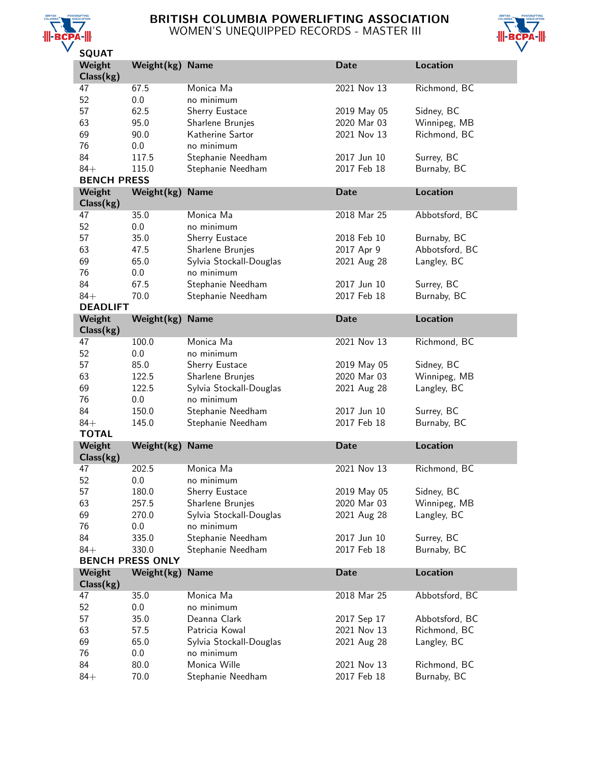

## BRITISH COLUMBIA POWERLIFTING ASSOCIATION WOMEN'S UNEQUIPPED RECORDS - MASTER III



| <b>SQUAT</b>                |                         |                                   |                            |                             |
|-----------------------------|-------------------------|-----------------------------------|----------------------------|-----------------------------|
| Weight                      | Weight(kg) Name         |                                   | <b>Date</b>                | <b>Location</b>             |
| Class(kg)                   |                         |                                   |                            |                             |
| 47                          | 67.5                    | Monica Ma                         | 2021 Nov 13                | Richmond, BC                |
| 52                          | 0.0                     | no minimum                        |                            |                             |
| 57                          | 62.5                    | Sherry Eustace                    | 2019 May 05                | Sidney, BC                  |
| 63                          | 95.0                    | Sharlene Brunjes                  | 2020 Mar 03                | Winnipeg, MB                |
| 69                          | 90.0                    | Katherine Sartor                  | 2021 Nov 13                | Richmond, BC                |
| 76                          | 0.0                     | no minimum                        |                            |                             |
| 84                          | 117.5                   | Stephanie Needham                 | 2017 Jun 10                | Surrey, BC                  |
|                             |                         |                                   | 2017 Feb 18                |                             |
| $84+$<br><b>BENCH PRESS</b> | 115.0                   | Stephanie Needham                 |                            | Burnaby, BC                 |
|                             |                         |                                   |                            |                             |
| Weight<br>Class(kg)         | Weight(kg)              | <b>Name</b>                       | <b>Date</b>                | <b>Location</b>             |
| 47                          | 35.0                    | Monica Ma                         | 2018 Mar 25                | Abbotsford, BC              |
| 52                          | 0.0                     | no minimum                        |                            |                             |
| 57                          | 35.0                    | Sherry Eustace                    | 2018 Feb 10                | Burnaby, BC                 |
| 63                          | 47.5                    | Sharlene Brunjes                  | 2017 Apr 9                 | Abbotsford, BC              |
| 69                          | 65.0                    | Sylvia Stockall-Douglas           | 2021 Aug 28                | Langley, BC                 |
| 76                          | 0.0                     | no minimum                        |                            |                             |
| 84                          | 67.5                    | Stephanie Needham                 | 2017 Jun 10                | Surrey, BC                  |
| $84+$                       | 70.0                    | Stephanie Needham                 | 2017 Feb 18                | Burnaby, BC                 |
| <b>DEADLIFT</b>             |                         |                                   |                            |                             |
| Weight                      | Weight(kg)              | <b>Name</b>                       | <b>Date</b>                | <b>Location</b>             |
| Class(kg)                   |                         |                                   |                            |                             |
| 47                          | 100.0                   | Monica Ma                         | 2021 Nov 13                | Richmond, BC                |
| 52                          | 0.0                     | no minimum                        |                            |                             |
| 57                          | 85.0                    |                                   |                            |                             |
|                             |                         | Sherry Eustace                    | 2019 May 05                | Sidney, BC                  |
| 63                          | 122.5                   | Sharlene Brunjes                  | 2020 Mar 03                | Winnipeg, MB                |
| 69                          | 122.5                   | Sylvia Stockall-Douglas           | 2021 Aug 28                | Langley, BC                 |
| 76                          | 0.0                     | no minimum                        |                            |                             |
| 84                          | 150.0                   | Stephanie Needham                 | 2017 Jun 10                | Surrey, BC                  |
| $84+$                       | 145.0                   | Stephanie Needham                 | 2017 Feb 18                | Burnaby, BC                 |
| <b>TOTAL</b>                |                         |                                   |                            |                             |
| Weight                      | Weight(kg)              | <b>Name</b>                       | <b>Date</b>                | <b>Location</b>             |
| Class(kg)                   |                         |                                   |                            |                             |
| 47                          | 202.5                   | Monica Ma                         | 2021 Nov 13                | Richmond, BC                |
| 52                          | 0.0                     | no minimum                        |                            |                             |
| 57                          | 180.0                   | Sherry Eustace                    | 2019 May 05                | Sidney, BC                  |
| 63                          | 257.5                   | Sharlene Brunjes                  | 2020 Mar 03                | Winnipeg, MB                |
| 69                          | 270.0                   | Sylvia Stockall-Douglas           | 2021 Aug 28                | Langley, BC                 |
| 76                          | 0.0                     | no minimum                        |                            |                             |
| 84                          | 335.0                   | Stephanie Needham                 | 2017 Jun 10                | Surrey, BC                  |
| $84+$                       | 330.0                   | Stephanie Needham                 | 2017 Feb 18                | Burnaby, BC                 |
|                             | <b>BENCH PRESS ONLY</b> |                                   |                            |                             |
| Weight                      | Weight(kg)              | <b>Name</b>                       | <b>Date</b>                | Location                    |
| Class(kg)                   |                         |                                   |                            |                             |
| 47                          | 35.0                    | Monica Ma                         | 2018 Mar 25                | Abbotsford, BC              |
| 52                          | 0.0                     | no minimum                        |                            |                             |
| 57                          | 35.0                    | Deanna Clark                      | 2017 Sep 17                | Abbotsford, BC              |
| 63                          | 57.5                    | Patricia Kowal                    | 2021 Nov 13                | Richmond, BC                |
| 69                          | 65.0                    | Sylvia Stockall-Douglas           | 2021 Aug 28                | Langley, BC                 |
|                             |                         |                                   |                            |                             |
| 76                          | 0.0                     | no minimum                        |                            |                             |
| 84<br>$84+$                 | 80.0<br>70.0            | Monica Wille<br>Stephanie Needham | 2021 Nov 13<br>2017 Feb 18 | Richmond, BC<br>Burnaby, BC |